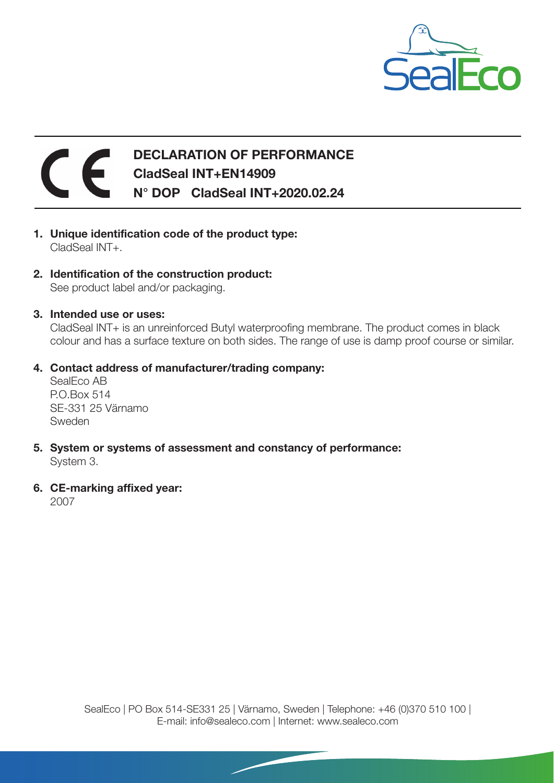

## $\epsilon$ DECLARATION OF PERFORMANCE CladSeal INT+EN14909 N° DOP CladSeal INT+2020.02.24

- 1. Unique identification code of the product type: CladSeal INT+.
- 2. Identification of the construction product: See product label and/or packaging.
- 3. Intended use or uses:

CladSeal INT+ is an unreinforced Butyl waterproofing membrane. The product comes in black colour and has a surface texture on both sides. The range of use is damp proof course or similar.

4. Contact address of manufacturer/trading company:

SealEco AB P.O.Box 514 SE-331 25 Värnamo Sweden

- 5. System or systems of assessment and constancy of performance: System 3.
- 6. CE-marking affixed year:

2007